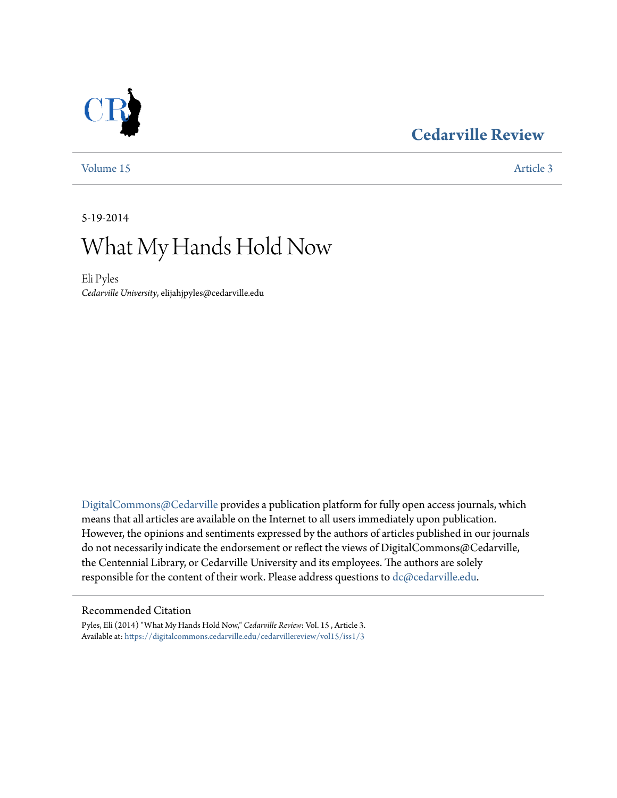### **[Cedarville Review](https://digitalcommons.cedarville.edu/cedarvillereview?utm_source=digitalcommons.cedarville.edu%2Fcedarvillereview%2Fvol15%2Fiss1%2F3&utm_medium=PDF&utm_campaign=PDFCoverPages)**



[Volume 15](https://digitalcommons.cedarville.edu/cedarvillereview/vol15?utm_source=digitalcommons.cedarville.edu%2Fcedarvillereview%2Fvol15%2Fiss1%2F3&utm_medium=PDF&utm_campaign=PDFCoverPages) [Article 3](https://digitalcommons.cedarville.edu/cedarvillereview/vol15/iss1/3?utm_source=digitalcommons.cedarville.edu%2Fcedarvillereview%2Fvol15%2Fiss1%2F3&utm_medium=PDF&utm_campaign=PDFCoverPages)

5-19-2014

# What My Hands Hold Now

Eli Pyles *Cedarville University*, elijahjpyles@cedarville.edu

[DigitalCommons@Cedarville](http://digitalcommons.cedarville.edu) provides a publication platform for fully open access journals, which means that all articles are available on the Internet to all users immediately upon publication. However, the opinions and sentiments expressed by the authors of articles published in our journals do not necessarily indicate the endorsement or reflect the views of DigitalCommons@Cedarville, the Centennial Library, or Cedarville University and its employees. The authors are solely responsible for the content of their work. Please address questions to [dc@cedarville.edu](mailto:dc@cedarville.edu).

#### Recommended Citation

Pyles, Eli (2014) "What My Hands Hold Now," *Cedarville Review*: Vol. 15 , Article 3. Available at: [https://digitalcommons.cedarville.edu/cedarvillereview/vol15/iss1/3](https://digitalcommons.cedarville.edu/cedarvillereview/vol15/iss1/3?utm_source=digitalcommons.cedarville.edu%2Fcedarvillereview%2Fvol15%2Fiss1%2F3&utm_medium=PDF&utm_campaign=PDFCoverPages)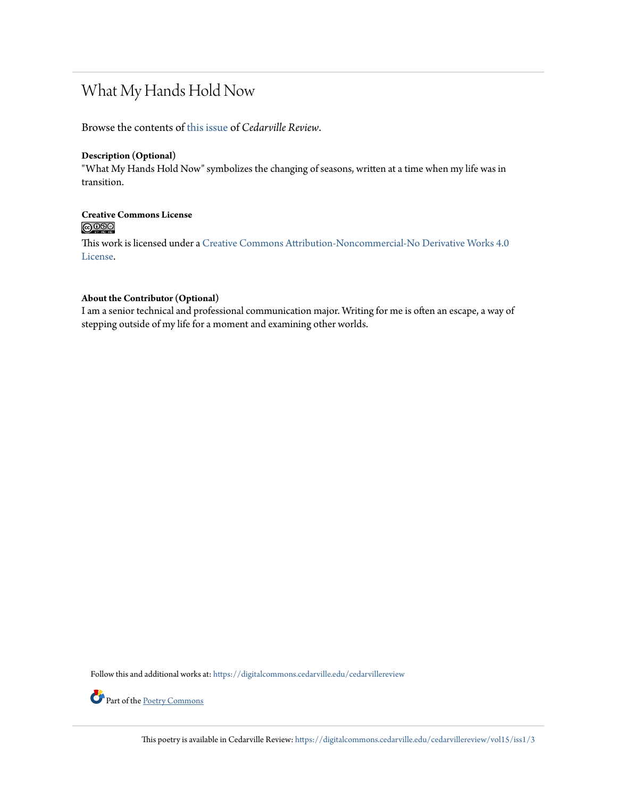## What My Hands Hold Now

Browse the contents of [this issue](https://digitalcommons.cedarville.edu/cedarvillereview/vol15/iss1) of *Cedarville Review*.

#### **Description (Optional)**

"What My Hands Hold Now" symbolizes the changing of seasons, written at a time when my life was in transition.

## **Creative Commons License**

This work is licensed under a [Creative Commons Attribution-Noncommercial-No Derivative Works 4.0](http://creativecommons.org/licenses/by-nc-nd/4.0/) [License.](http://creativecommons.org/licenses/by-nc-nd/4.0/)

#### **About the Contributor (Optional)**

I am a senior technical and professional communication major. Writing for me is often an escape, a way of stepping outside of my life for a moment and examining other worlds.

Follow this and additional works at: [https://digitalcommons.cedarville.edu/cedarvillereview](https://digitalcommons.cedarville.edu/cedarvillereview?utm_source=digitalcommons.cedarville.edu%2Fcedarvillereview%2Fvol15%2Fiss1%2F3&utm_medium=PDF&utm_campaign=PDFCoverPages)



Part of the [Poetry Commons](http://network.bepress.com/hgg/discipline/1153?utm_source=digitalcommons.cedarville.edu%2Fcedarvillereview%2Fvol15%2Fiss1%2F3&utm_medium=PDF&utm_campaign=PDFCoverPages)